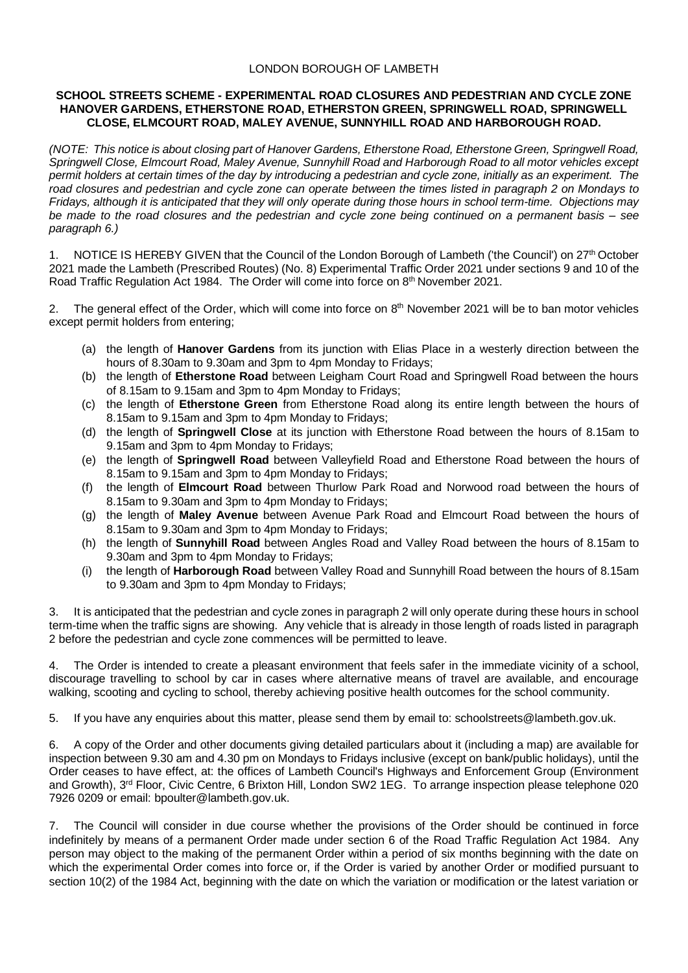## LONDON BOROUGH OF LAMBETH

## **SCHOOL STREETS SCHEME - EXPERIMENTAL ROAD CLOSURES AND PEDESTRIAN AND CYCLE ZONE HANOVER GARDENS, ETHERSTONE ROAD, ETHERSTON GREEN, SPRINGWELL ROAD, SPRINGWELL CLOSE, ELMCOURT ROAD, MALEY AVENUE, SUNNYHILL ROAD AND HARBOROUGH ROAD.**

*(NOTE: This notice is about closing part of Hanover Gardens, Etherstone Road, Etherstone Green, Springwell Road, Springwell Close, Elmcourt Road, Maley Avenue, Sunnyhill Road and Harborough Road to all motor vehicles except permit holders at certain times of the day by introducing a pedestrian and cycle zone, initially as an experiment. The road closures and pedestrian and cycle zone can operate between the times listed in paragraph 2 on Mondays to Fridays, although it is anticipated that they will only operate during those hours in school term-time. Objections may be made to the road closures and the pedestrian and cycle zone being continued on a permanent basis – see paragraph 6.)*

1. NOTICE IS HEREBY GIVEN that the Council of the London Borough of Lambeth ('the Council') on 27<sup>th</sup> October 2021 made the Lambeth (Prescribed Routes) (No. 8) Experimental Traffic Order 2021 under sections 9 and 10 of the Road Traffic Regulation Act 1984. The Order will come into force on 8<sup>th</sup> November 2021.

2. The general effect of the Order, which will come into force on 8<sup>th</sup> November 2021 will be to ban motor vehicles except permit holders from entering;

- (a) the length of **Hanover Gardens** from its junction with Elias Place in a westerly direction between the hours of 8.30am to 9.30am and 3pm to 4pm Monday to Fridays;
- (b) the length of **Etherstone Road** between Leigham Court Road and Springwell Road between the hours of 8.15am to 9.15am and 3pm to 4pm Monday to Fridays;
- (c) the length of **Etherstone Green** from Etherstone Road along its entire length between the hours of 8.15am to 9.15am and 3pm to 4pm Monday to Fridays;
- (d) the length of **Springwell Close** at its junction with Etherstone Road between the hours of 8.15am to 9.15am and 3pm to 4pm Monday to Fridays;
- (e) the length of **Springwell Road** between Valleyfield Road and Etherstone Road between the hours of 8.15am to 9.15am and 3pm to 4pm Monday to Fridays;
- (f) the length of **Elmcourt Road** between Thurlow Park Road and Norwood road between the hours of 8.15am to 9.30am and 3pm to 4pm Monday to Fridays;
- (g) the length of **Maley Avenue** between Avenue Park Road and Elmcourt Road between the hours of 8.15am to 9.30am and 3pm to 4pm Monday to Fridays;
- (h) the length of **Sunnyhill Road** between Angles Road and Valley Road between the hours of 8.15am to 9.30am and 3pm to 4pm Monday to Fridays;
- (i) the length of **Harborough Road** between Valley Road and Sunnyhill Road between the hours of 8.15am to 9.30am and 3pm to 4pm Monday to Fridays;

3. It is anticipated that the pedestrian and cycle zones in paragraph 2 will only operate during these hours in school term-time when the traffic signs are showing. Any vehicle that is already in those length of roads listed in paragraph 2 before the pedestrian and cycle zone commences will be permitted to leave.

4. The Order is intended to create a pleasant environment that feels safer in the immediate vicinity of a school, discourage travelling to school by car in cases where alternative means of travel are available, and encourage walking, scooting and cycling to school, thereby achieving positive health outcomes for the school community.

5. If you have any enquiries about this matter, please send them by email to[: schoolstreets@lambeth.gov.uk.](mailto:schoolstreets@lambeth.gov.uk)

6. A copy of the Order and other documents giving detailed particulars about it (including a map) are available for inspection between 9.30 am and 4.30 pm on Mondays to Fridays inclusive (except on bank/public holidays), until the Order ceases to have effect, at: the offices of Lambeth Council's Highways and Enforcement Group (Environment and Growth), 3<sup>rd</sup> Floor, Civic Centre, 6 Brixton Hill, London SW2 1EG. To arrange inspection please telephone 020 7926 0209 or email: [bpoulter@lambeth.gov.uk.](mailto:bpoulter@lambeth.gov.uk)

7. The Council will consider in due course whether the provisions of the Order should be continued in force indefinitely by means of a permanent Order made under section 6 of the Road Traffic Regulation Act 1984. Any person may object to the making of the permanent Order within a period of six months beginning with the date on which the experimental Order comes into force or, if the Order is varied by another Order or modified pursuant to section 10(2) of the 1984 Act, beginning with the date on which the variation or modification or the latest variation or